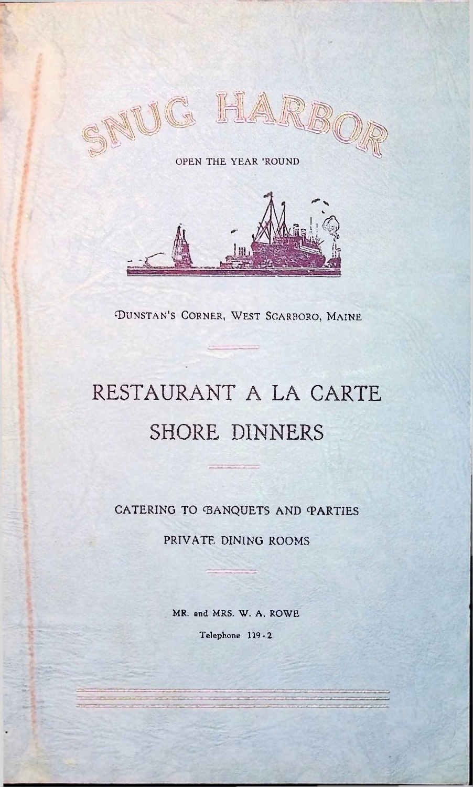

OPEN THE YEAR 'ROUND



DUNSTAN'S CORNER, WEST SCARBORO, MAINE

# RESTAURANT A LA CARTE SHORE DINNERS

CATERING TO BANQUETS AND PARTIES

PRIVATE DINING ROOMS

MR. and MRS. W. A. ROWE Telephone 119-2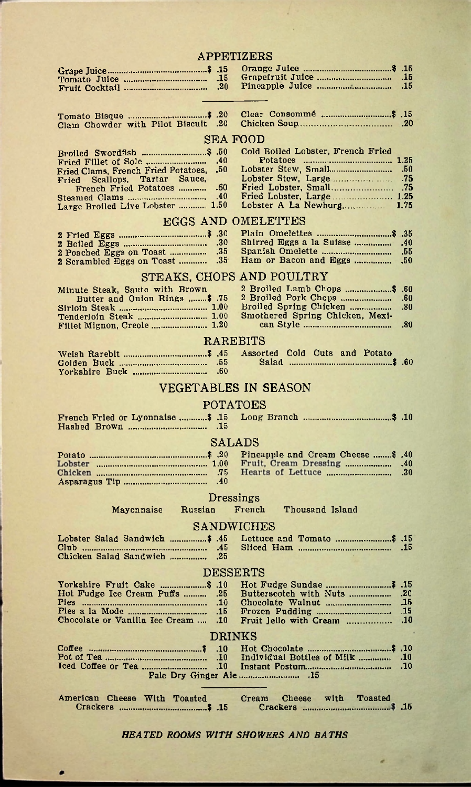|                                                              |            | <b>APPETIZERS</b>                            |            |
|--------------------------------------------------------------|------------|----------------------------------------------|------------|
|                                                              |            |                                              | .15<br>.15 |
|                                                              |            |                                              |            |
| Clam Chowder with Pilot Biscuit .20                          |            |                                              |            |
|                                                              |            | SEA FOOD                                     |            |
|                                                              |            | Cold Boiled Lobster, French Fried            |            |
| Fried Clams, French Fried Potatoes,                          | .50        |                                              |            |
| Fried Scallops, Tartar Sauce,                                |            |                                              |            |
| French Fried Potatoes                                        | .60<br>.40 | Fried Lobster, Large  1.25                   |            |
| Large Broiled Live Lobster  1.50                             |            |                                              |            |
| EGGS AND                                                     |            | OMELETTES                                    |            |
|                                                              |            |                                              |            |
| 2 Poached Eggs on Toast                                      | 35         | Shirred Eggs a la Suisse<br>Spanish Omelette | .40<br>.55 |
| 2 Scrambled Eggs on Toast                                    | .35        | Ham or Bacon and Eggs                        | ,50        |
|                                                              |            | STEAKS, CHOPS AND POULTRY                    |            |
| Minute Steak, Saute with Brown                               |            |                                              | .60        |
| Butter and Onion Rings  \$ .75                               |            | Broiled Spring Chicken                       | .60<br>.80 |
| Tenderloin Steak  1.00                                       |            | Smothered Spring Chicken, Mexi-              |            |
| Fillet Mignon, Creole  1.20                                  |            |                                              | .80        |
|                                                              |            | RAREBITS                                     |            |
|                                                              |            |                                              |            |
|                                                              | .60        |                                              |            |
|                                                              |            | VEGETABLES IN SEASON                         |            |
|                                                              |            | POTATOES                                     |            |
| French Fried or Lyonnaise \$ .15                             |            |                                              |            |
|                                                              |            |                                              |            |
|                                                              |            | SALADS                                       |            |
|                                                              |            | Pineapple and Cream Cheese  \$ .40           |            |
|                                                              |            | Fruit, Cream Dressing  .40                   | .30        |
|                                                              | .40        |                                              |            |
|                                                              |            | Dressings                                    |            |
| Mayonnaise<br>Russian                                        |            | French<br>Thousand Island                    |            |
|                                                              |            | SANDWICHES                                   |            |
| Lobster Salad Sandwich \$ .45                                |            |                                              |            |
| Chicken Salad Sandwich                                       | .45<br>.25 |                                              |            |
|                                                              |            | <b>DESSERTS</b>                              |            |
|                                                              |            |                                              |            |
| 10. Torkshire Fruit Cake \$<br>Hot Fudge Ice Cream Puffs  25 |            | Butterscotch with Nuts                       | .20        |
|                                                              |            |                                              | .15<br>.15 |
| Chocolate or Vanilla Ice Cream  .10                          |            | Fruit Jello with Cream                       | .10        |
|                                                              |            | <b>DRINKS</b>                                |            |
|                                                              |            |                                              |            |
|                                                              |            |                                              | .10<br>.10 |
|                                                              |            |                                              |            |
|                                                              |            |                                              |            |
|                                                              |            |                                              |            |

*HEATED ROOMS WITH SHOWERS AND BATHS*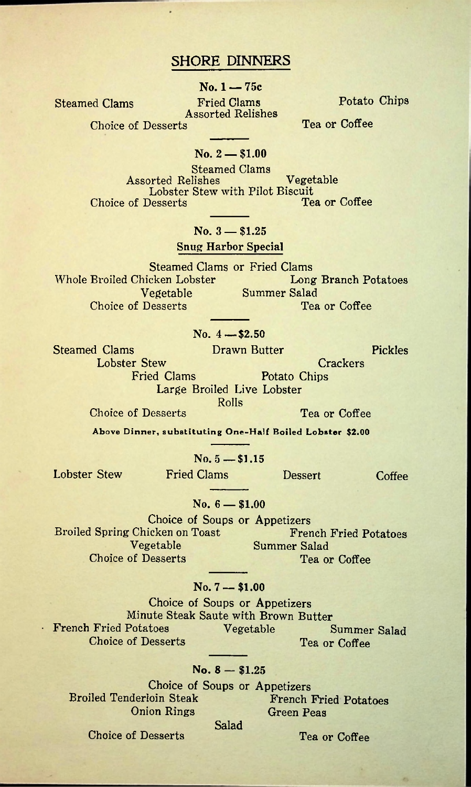## **SHORE DINNERS**

**No. 1 — 75c**

**Assorted Relishes**

**Steamed Clams Fried Clams Potato Chips**

**Choice of Desserts** Tea or Coffee

### **No. 2 — \$1.00**

**Steamed Clams Assorted Relishes Vegetable Lobster Stew with Pilot Biscuit Choice of Desserts** 

## **No. 3 — \$1.25**

**Snug Harbor Special**

**Steamed Clams or Fried Clams Whole Broiled Chicken Lobster Vegetable Summer Salad Desserts Tea or Coffee Choice of Desserts** 

## **No. 4 — \$2.50**

**Steamed Clams** Drawn Butter Pickles **Lobster Stew Crackers**

**Fried Clams** Potato Chips **Large Broiled Live Lobster Rolls**

**Choice of Desserts** Tea or Coffee

Above Dinner, substituting One-Half Boiled Lobster \$2.00

**No. 5 —-\$1.15**

**Lobster Stew Fried Clams Dessert Coffee**

**No. 6 — \$1.00**

**Choice of Soups or Appetizers Broiled Spring Chicken on Toast French Fried Potatoes Summer Salad Choice of Desserts** Tea or Coffee

#### **No. 7 — \$1.00**

**Choice of Soups or Appetizers Minute Steak Saute with Brown Butter French Fried Potatoes Vegetable** Summer Salad **Choice of Desserts** Tea or Coffee

## **No. 8 — \$1.25**

**Choice of Soups or Appetizers Broiled Tenderloin Steak French Fried Potatoes Onion Rings Green Peas Salad**

**Choice of Desserts**

**Tea or Coffee**